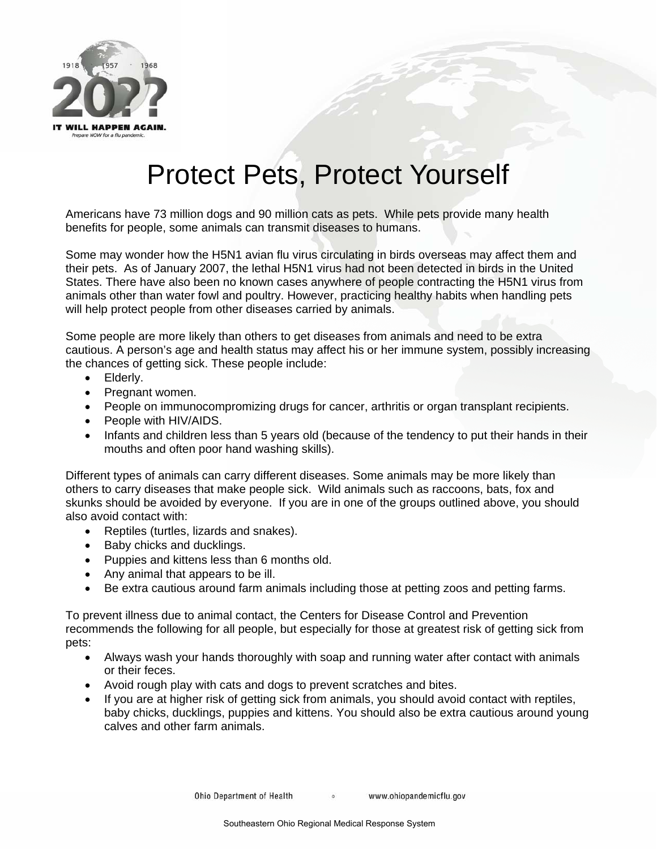

## Protect Pets, Protect Yourself

Americans have 73 million dogs and 90 million cats as pets. While pets provide many health benefits for people, some animals can transmit diseases to humans.

Some may wonder how the H5N1 avian flu virus circulating in birds overseas may affect them and their pets. As of January 2007, the lethal H5N1 virus had not been detected in birds in the United States. There have also been no known cases anywhere of people contracting the H5N1 virus from animals other than water fowl and poultry. However, practicing healthy habits when handling pets will help protect people from other diseases carried by animals.

Some people are more likely than others to get diseases from animals and need to be extra cautious. A person's age and health status may affect his or her immune system, possibly increasing the chances of getting sick. These people include:

- Elderly.
- Pregnant women.
- People on immunocompromizing drugs for cancer, arthritis or organ transplant recipients.
- People with HIV/AIDS.
- Infants and children less than 5 years old (because of the tendency to put their hands in their mouths and often poor hand washing skills).

Different types of animals can carry different diseases. Some animals may be more likely than others to carry diseases that make people sick. Wild animals such as raccoons, bats, fox and skunks should be avoided by everyone. If you are in one of the groups outlined above, you should also avoid contact with:

- Reptiles (turtles, lizards and snakes).
- Baby chicks and ducklings.
- Puppies and kittens less than 6 months old.
- Any animal that appears to be ill.
- Be extra cautious around farm animals including those at petting zoos and petting farms.

To prevent illness due to animal contact, the Centers for Disease Control and Prevention recommends the following for all people, but especially for those at greatest risk of getting sick from pets:

- Always wash your hands thoroughly with soap and running water after contact with animals or their feces.
- Avoid rough play with cats and dogs to prevent scratches and bites.
- If you are at higher risk of getting sick from animals, you should avoid contact with reptiles, baby chicks, ducklings, puppies and kittens. You should also be extra cautious around young calves and other farm animals.